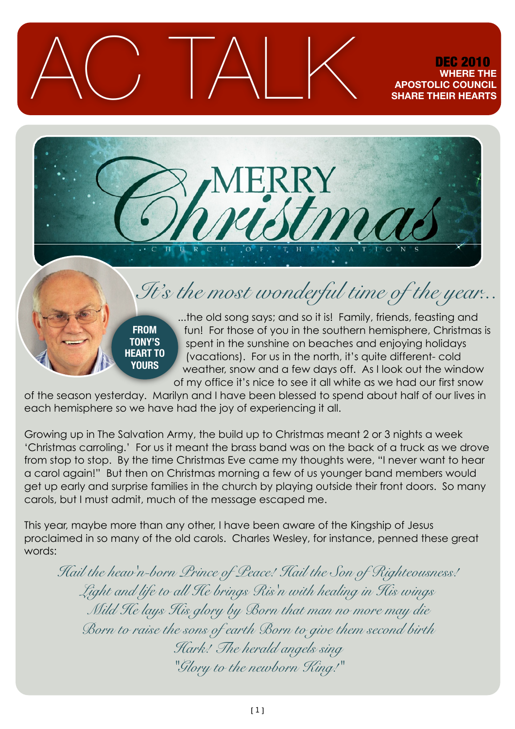## AC TALK DEC 2010 **WHERE THE POSTOLIC COU SHARE THEIR HEARTS**



## *It's the most wonderful time of the year...*

**FROM TONY'S HEART TO YOURS**

...the old song says; and so it is! Family, friends, feasting and fun! For those of you in the southern hemisphere, Christmas is spent in the sunshine on beaches and enjoying holidays (vacations). For us in the north, it's quite different- cold weather, snow and a few days off. As I look out the window of my office it's nice to see it all white as we had our first snow

of the season yesterday. Marilyn and I have been blessed to spend about half of our lives in each hemisphere so we have had the joy of experiencing it all.

Growing up in The Salvation Army, the build up to Christmas meant 2 or 3 nights a week 'Christmas carroling.' For us it meant the brass band was on the back of a truck as we drove from stop to stop. By the time Christmas Eve came my thoughts were, "I never want to hear a carol again!" But then on Christmas morning a few of us younger band members would get up early and surprise families in the church by playing outside their front doors. So many carols, but I must admit, much of the message escaped me.

This year, maybe more than any other, I have been aware of the Kingship of Jesus proclaimed in so many of the old carols. Charles Wesley, for instance, penned these great words:

*Hail the heav'n-born Prince of Peace! Hail the Son of Righteousness! Light and life to all He brings Ris'n with healing in His wings Mild He lays His glory by Born that man no more may die Born to raise the sons of earth Born to give them second birth Hark! The herald angels sing "Glory to the newborn King!"*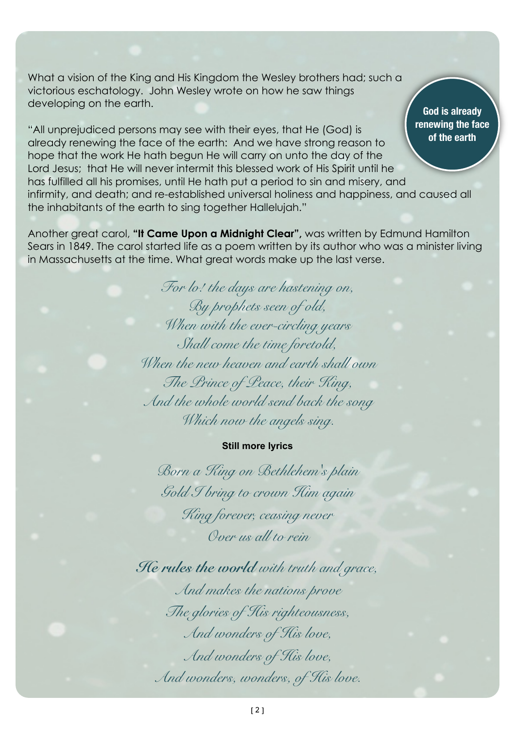What a vision of the King and His Kingdom the Wesley brothers had; such a victorious eschatology. John Wesley wrote on how he saw things developing on the earth.

"All unprejudiced persons may see with their eyes, that He (God) is already renewing the face of the earth: And we have strong reason to hope that the work He hath begun He will carry on unto the day of the Lord Jesus; that He will never intermit this blessed work of His Spirit until he has fulfilled all his promises, until He hath put a period to sin and misery, and infirmity, and death; and re-established universal holiness and happiness, and caused all the inhabitants of the earth to sing together Hallelujah."

Another great carol, **"It Came Upon a Midnight Clear",** was written by Edmund Hamilton Sears in 1849. The carol started life as a poem written by its author who was a minister living in Massachusetts at the time. What great words make up the last verse.

> *For lo! the days are hastening on, By prophets seen of old, When with the ever-circling years Shall come the time foretold, When the new heaven and earth shall own The Prince of Peace, their King, And the whole world send back the song Which now the angels sing.*

## **Still more lyrics**

*Born a King on Bethlehem's plain Gold I bring to crown Him again King forever, ceasing never Over us all to rein*

*He rules the world with truth and grace, And makes the nations prove The glories of His righteousness, And wonders of His love, And wonders of His love, And wonders, wonders, of His love.*

**God is already renewing the face of the earth**